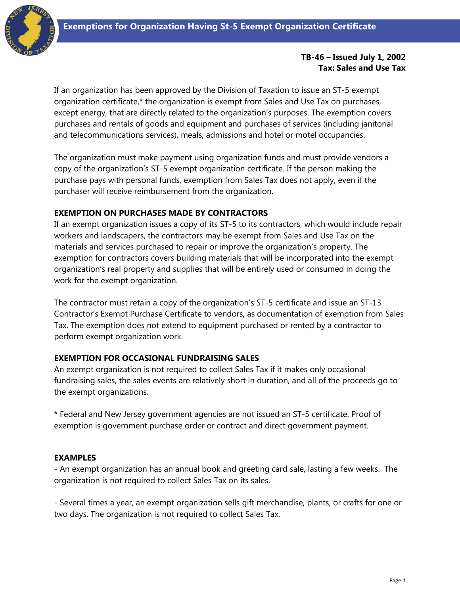

### **TB-46 – Issued July 1, 2002 Tax: Sales and Use Tax**

If an organization has been approved by the Division of Taxation to issue an ST-5 exempt organization certificate,\* the organization is exempt from Sales and Use Tax on purchases, except energy, that are directly related to the organization's purposes. The exemption covers purchases and rentals of goods and equipment and purchases of services (including janitorial and telecommunications services), meals, admissions and hotel or motel occupancies.

The organization must make payment using organization funds and must provide vendors a copy of the organization's ST-5 exempt organization certificate. If the person making the purchase pays with personal funds, exemption from Sales Tax does not apply, even if the purchaser will receive reimbursement from the organization.

## **EXEMPTION ON PURCHASES MADE BY CONTRACTORS**

If an exempt organization issues a copy of its ST-5 to its contractors, which would include repair workers and landscapers, the contractors may be exempt from Sales and Use Tax on the materials and services purchased to repair or improve the organization's property. The exemption for contractors covers building materials that will be incorporated into the exempt organization's real property and supplies that will be entirely used or consumed in doing the work for the exempt organization.

The contractor must retain a copy of the organization's ST-5 certificate and issue an ST-13 Contractor's Exempt Purchase Certificate to vendors, as documentation of exemption from Sales Tax. The exemption does not extend to equipment purchased or rented by a contractor to perform exempt organization work.

## **EXEMPTION FOR OCCASIONAL FUNDRAISING SALES**

An exempt organization is not required to collect Sales Tax if it makes only occasional fundraising sales, the sales events are relatively short in duration, and all of the proceeds go to the exempt organizations.

\* Federal and New Jersey government agencies are not issued an ST-5 certificate. Proof of exemption is government purchase order or contract and direct government payment.

## **EXAMPLES**

- An exempt organization has an annual book and greeting card sale, lasting a few weeks. The organization is not required to collect Sales Tax on its sales.

- Several times a year, an exempt organization sells gift merchandise, plants, or crafts for one or two days. The organization is not required to collect Sales Tax.